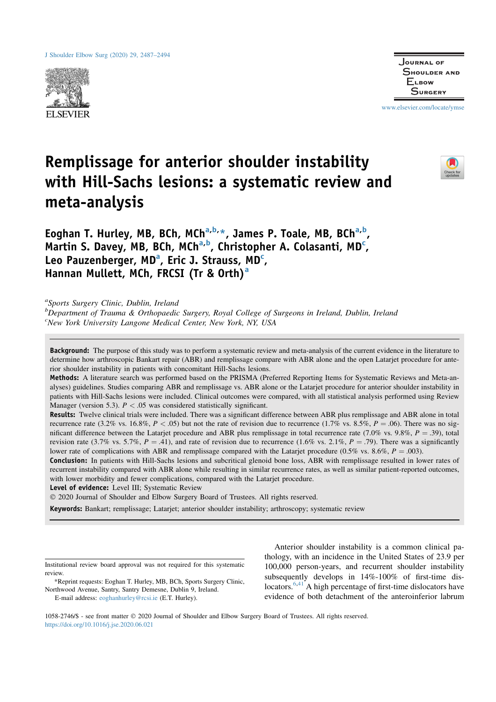

Journal of Shoulder and **ELBOW SURGERY** 

www.elsevier.com/locate/ymse

# Remplissage for anterior shoulder instability with Hill-Sachs lesions: a systematic review and meta-analysis



Eoghan T. Hurley, MB, BCh, MCh<sup>a,b,</sup>\*, James P. Toale, MB, BCh<sup>a,b</sup>, Martin S. Davey, MB, BCh, MCh<sup>a,b</sup>, Christopher A. Colasanti, MD<sup>c</sup>, Leo Pauzenberger, MD<sup>a</sup>, Eric J. Strauss, MD<sup>c</sup>, Hannan Mullett, MCh, FRCSI (Tr & Orth)<sup>a</sup>

<sup>a</sup>Sports Surgery Clinic, Dublin, Ireland

<sup>b</sup>Department of Trauma & Orthopaedic Surgery, Royal College of Surgeons in Ireland, Dublin, Ireland <sup>c</sup>New York University Langone Medical Center, New York, NY, USA

Background: The purpose of this study was to perform a systematic review and meta-analysis of the current evidence in the literature to determine how arthroscopic Bankart repair (ABR) and remplissage compare with ABR alone and the open Latarjet procedure for anterior shoulder instability in patients with concomitant Hill-Sachs lesions.

Methods: A literature search was performed based on the PRISMA (Preferred Reporting Items for Systematic Reviews and Meta-analyses) guidelines. Studies comparing ABR and remplissage vs. ABR alone or the Latarjet procedure for anterior shoulder instability in patients with Hill-Sachs lesions were included. Clinical outcomes were compared, with all statistical analysis performed using Review Manager (version 5.3).  $P < .05$  was considered statistically significant.

Results: Twelve clinical trials were included. There was a significant difference between ABR plus remplissage and ABR alone in total recurrence rate (3.2% vs. 16.8%,  $P < .05$ ) but not the rate of revision due to recurrence (1.7% vs. 8.5%,  $P = .06$ ). There was no significant difference between the Latarjet procedure and ABR plus remplissage in total recurrence rate  $(7.0\%$  vs. 9.8%,  $P = .39$ ), total revision rate (3.7% vs. 5.7%,  $P = .41$ ), and rate of revision due to recurrence (1.6% vs. 2.1%,  $P = .79$ ). There was a significantly lower rate of complications with ABR and remplissage compared with the Latarjet procedure (0.5% vs. 8.6%,  $P = .003$ ).

Conclusion: In patients with Hill-Sachs lesions and subcritical glenoid bone loss, ABR with remplissage resulted in lower rates of recurrent instability compared with ABR alone while resulting in similar recurrence rates, as well as similar patient-reported outcomes, with lower morbidity and fewer complications, compared with the Latarjet procedure.

Level of evidence: Level III; Systematic Review

! 2020 Journal of Shoulder and Elbow Surgery Board of Trustees. All rights reserved.

Keywords: Bankart; remplissage; Latarjet; anterior shoulder instability; arthroscopy; systematic review

Institutional review board approval was not required for this systematic review.

\*Reprint requests: Eoghan T. Hurley, MB, BCh, Sports Surgery Clinic, Northwood Avenue, Santry, Santry Demesne, Dublin 9, Ireland.

E-mail address: eoghanhurley@rcsi.ie (E.T. Hurley).

Anterior shoulder instability is a common clinical pathology, with an incidence in the United States of 23.9 per 100,000 person-years, and recurrent shoulder instability subsequently develops in 14%-100% of first-time dislocators.6,41 A high percentage of first-time dislocators have evidence of both detachment of the anteroinferior labrum

1058-2746/\$ - see front matter  $@$  2020 Journal of Shoulder and Elbow Surgery Board of Trustees. All rights reserved. https://doi.org/10.1016/j.jse.2020.06.021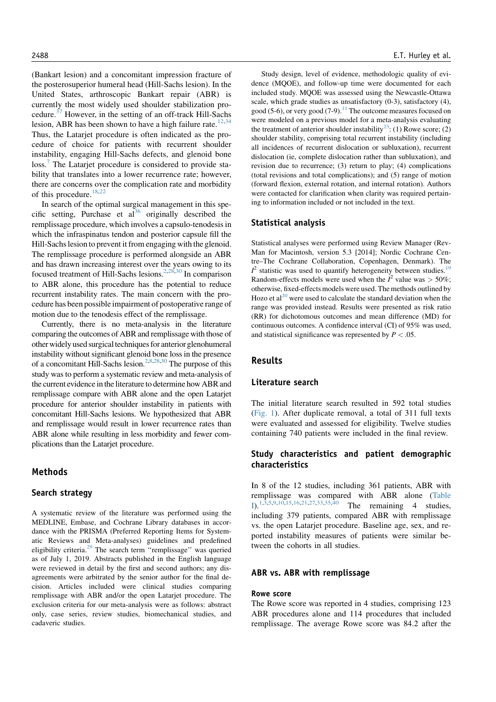(Bankart lesion) and a concomitant impression fracture of the posterosuperior humeral head (Hill-Sachs lesion). In the United States, arthroscopic Bankart repair (ABR) is currently the most widely used shoulder stabilization procedure.37 However, in the setting of an off-track Hill-Sachs lesion, ABR has been shown to have a high failure rate.<sup>12,34</sup> Thus, the Latarjet procedure is often indicated as the procedure of choice for patients with recurrent shoulder instability, engaging Hill-Sachs defects, and glenoid bone loss.<sup>7</sup> The Latarjet procedure is considered to provide stability that translates into a lower recurrence rate; however, there are concerns over the complication rate and morbidity of this procedure.<sup>18,22</sup>

In search of the optimal surgical management in this specific setting, Purchase et  $al^{36}$  originally described the remplissage procedure, which involves a capsulo-tenodesis in which the infraspinatus tendon and posterior capsule fill the Hill-Sachs lesion to prevent it from engaging with the glenoid. The remplissage procedure is performed alongside an ABR and has drawn increasing interest over the years owing to its focused treatment of Hill-Sachs lesions.2,28,30 In comparison to ABR alone, this procedure has the potential to reduce recurrent instability rates. The main concern with the procedure has been possible impairment of postoperative range of motion due to the tenodesis effect of the remplissage.

Currently, there is no meta-analysis in the literature comparing the outcomes of ABR and remplissage with those of other widely used surgical techniques for anterior glenohumeral instability without significant glenoid bone loss in the presence of a concomitant Hill-Sachs lesion.<sup>2,8,28,30</sup> The purpose of this study was to perform a systematic review and meta-analysis of the current evidence in the literature to determine how ABR and remplissage compare with ABR alone and the open Latarjet procedure for anterior shoulder instability in patients with concomitant Hill-Sachs lesions. We hypothesized that ABR and remplissage would result in lower recurrence rates than ABR alone while resulting in less morbidity and fewer complications than the Latarjet procedure.

# Methods

## Search strategy

A systematic review of the literature was performed using the MEDLINE, Embase, and Cochrane Library databases in accordance with the PRISMA (Preferred Reporting Items for Systematic Reviews and Meta-analyses) guidelines and predefined eligibility criteria. $^{29}$  The search term "remplissage" was queried as of July 1, 2019. Abstracts published in the English language were reviewed in detail by the first and second authors; any disagreements were arbitrated by the senior author for the final decision. Articles included were clinical studies comparing remplissage with ABR and/or the open Latarjet procedure. The exclusion criteria for our meta-analysis were as follows: abstract only, case series, review studies, biomechanical studies, and cadaveric studies.

Study design, level of evidence, methodologic quality of evidence (MQOE), and follow-up time were documented for each included study. MQOE was assessed using the Newcastle-Ottawa scale, which grade studies as unsatisfactory (0-3), satisfactory (4), good (5-6), or very good (7-9).<sup>11</sup> The outcome measures focused on were modeled on a previous model for a meta-analysis evaluating the treatment of anterior shoulder instability<sup>23</sup>: (1) Rowe score; (2) shoulder stability, comprising total recurrent instability (including all incidences of recurrent dislocation or subluxation), recurrent dislocation (ie, complete dislocation rather than subluxation), and revision due to recurrence; (3) return to play; (4) complications (total revisions and total complications); and (5) range of motion (forward flexion, external rotation, and internal rotation). Authors were contacted for clarification when clarity was required pertaining to information included or not included in the text.

## Statistical analysis

Statistical analyses were performed using Review Manager (Rev-Man for Macintosh, version 5.3 [2014]; Nordic Cochrane Centre–The Cochrane Collaboration, Copenhagen, Denmark). The  $I^2$  statistic was used to quantify heterogeneity between studies.<sup>19</sup> Random-effects models were used when the  $I^2$  value was  $>$  50%; otherwise, fixed-effects models were used. The methods outlined by Hozo et al<sup>20</sup> were used to calculate the standard deviation when the range was provided instead. Results were presented as risk ratio (RR) for dichotomous outcomes and mean difference (MD) for continuous outcomes. A confidence interval (CI) of 95% was used, and statistical significance was represented by  $P < .05$ .

# Results

## Literature search

The initial literature search resulted in 592 total studies (Fig. 1). After duplicate removal, a total of 311 full texts were evaluated and assessed for eligibility. Twelve studies containing 740 patients were included in the final review.

# Study characteristics and patient demographic characteristics

In 8 of the 12 studies, including 361 patients, ABR with remplissage was compared with ABR alone (Table I).<sup>1,3,5,9,10,15,16,21,27,33,35,40</sup> The remaining 4 studies, including 379 patients, compared ABR with remplissage vs. the open Latarjet procedure. Baseline age, sex, and reported instability measures of patients were similar between the cohorts in all studies.

#### ABR vs. ABR with remplissage

#### Rowe score

The Rowe score was reported in 4 studies, comprising 123 ABR procedures alone and 114 procedures that included remplissage. The average Rowe score was 84.2 after the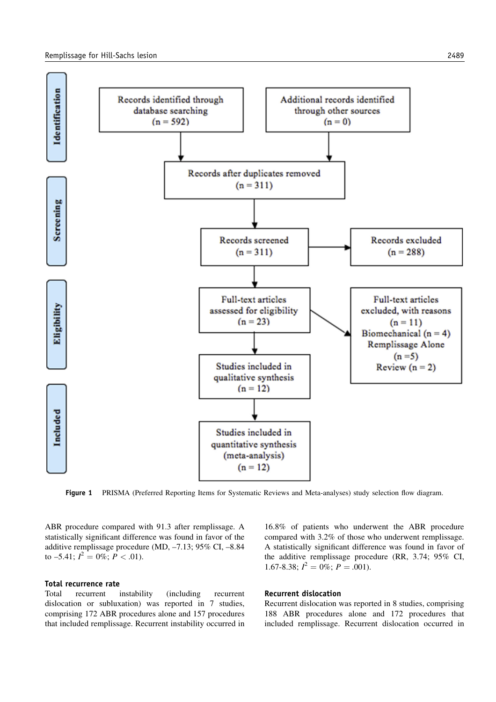

Figure 1 PRISMA (Preferred Reporting Items for Systematic Reviews and Meta-analyses) study selection flow diagram.

ABR procedure compared with 91.3 after remplissage. A statistically significant difference was found in favor of the additive remplissage procedure (MD, –7.13; 95% CI, –8.84 to -5.41;  $I^2 = 0\%$ ;  $P < .01$ ).

## Total recurrence rate

Total recurrent instability (including recurrent dislocation or subluxation) was reported in 7 studies, comprising 172 ABR procedures alone and 157 procedures that included remplissage. Recurrent instability occurred in 16.8% of patients who underwent the ABR procedure compared with 3.2% of those who underwent remplissage. A statistically significant difference was found in favor of the additive remplissage procedure (RR, 3.74; 95% CI, 1.67-8.38;  $I^2 = 0\%$ ;  $P = .001$ ).

## Recurrent dislocation

Recurrent dislocation was reported in 8 studies, comprising 188 ABR procedures alone and 172 procedures that included remplissage. Recurrent dislocation occurred in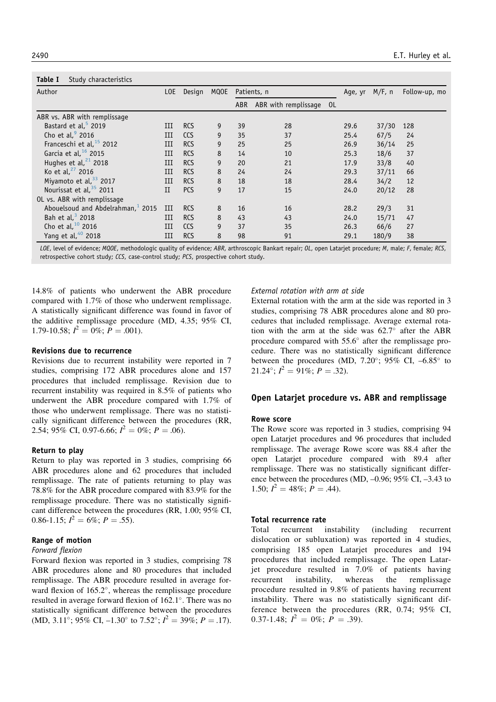| Study characteristics<br>Table I              |     |            |             |            |                         |  |      |           |               |
|-----------------------------------------------|-----|------------|-------------|------------|-------------------------|--|------|-----------|---------------|
| Author                                        |     | Design     | <b>MQOE</b> |            | Patients, n             |  |      | $M/F$ , n | Follow-up, mo |
|                                               |     |            |             | <b>ABR</b> | ABR with remplissage OL |  |      |           |               |
| ABR vs. ABR with remplissage                  |     |            |             |            |                         |  |      |           |               |
| Bastard et al. <sup>5</sup> 2019              | Ш   | <b>RCS</b> | 9           | 39         | 28                      |  | 29.6 | 37/30     | 128           |
| Cho et al, $92016$                            | III | <b>CCS</b> | 9           | 35         | 37                      |  | 25.4 | 67/5      | 24            |
| Franceschi et al, $15$ 2012                   | III | <b>RCS</b> | 9           | 25         | 25                      |  | 26.9 | 36/14     | 25            |
| Garcia et al, $16$ 2015                       | III | <b>RCS</b> | 8           | 14         | 10                      |  | 25.3 | 18/6      | 37            |
| Hughes et al, $21$ 2018                       | III | <b>RCS</b> | 9           | 20         | 21                      |  | 17.9 | 33/8      | 40            |
| Ko et al, $27$ 2016                           | III | <b>RCS</b> | 8           | 24         | 24                      |  | 29.3 | 37/11     | 66            |
| Miyamoto et al, $33$ 2017                     | III | <b>RCS</b> | 8           | 18         | 18                      |  | 28.4 | 34/2      | 12            |
| Nourissat et al, 35 2011                      | II  | <b>PCS</b> | 9           | 17         | 15                      |  | 24.0 | 20/12     | 28            |
| OL vs. ABR with remplissage                   |     |            |             |            |                         |  |      |           |               |
| Abouelsoud and Abdelrahman, <sup>1</sup> 2015 | III | <b>RCS</b> | 8           | 16         | 16                      |  | 28.2 | 29/3      | 31            |
| Bah et al, $3$ 2018                           | III | <b>RCS</b> | 8           | 43         | 43                      |  | 24.0 | 15/71     | 47            |
| Cho et al, $10$ 2016                          | III | <b>CCS</b> | 9           | 37         | 35                      |  | 26.3 | 66/6      | 27            |
| Yang et al, 40 2018                           | III | <b>RCS</b> | 8           | 98         | 91                      |  | 29.1 | 180/9     | 38            |

LOE, level of evidence; MQOE, methodologic quality of evidence; ABR, arthroscopic Bankart repair; OL, open Latarjet procedure; M, male; F, female; RCS, retrospective cohort study; CCS, case-control study; PCS, prospective cohort study.

14.8% of patients who underwent the ABR procedure compared with 1.7% of those who underwent remplissage. A statistically significant difference was found in favor of the additive remplissage procedure (MD, 4.35; 95% CI, 1.79-10.58;  $I^2 = 0\%$ ;  $P = .001$ ).

## Revisions due to recurrence

Revisions due to recurrent instability were reported in 7 studies, comprising 172 ABR procedures alone and 157 procedures that included remplissage. Revision due to recurrent instability was required in 8.5% of patients who underwent the ABR procedure compared with 1.7% of those who underwent remplissage. There was no statistically significant difference between the procedures (RR, 2.54; 95% CI, 0.97-6.66;  $I^2 = 0\%$ ;  $P = .06$ ).

#### Return to play

Return to play was reported in 3 studies, comprising 66 ABR procedures alone and 62 procedures that included remplissage. The rate of patients returning to play was 78.8% for the ABR procedure compared with 83.9% for the remplissage procedure. There was no statistically significant difference between the procedures (RR, 1.00; 95% CI, 0.86-1.15;  $I^2 = 6\%$ ;  $P = .55$ ).

#### Range of motion

#### Forward flexion

Forward flexion was reported in 3 studies, comprising 78 ABR procedures alone and 80 procedures that included remplissage. The ABR procedure resulted in average forward flexion of 165.2°, whereas the remplissage procedure resulted in average forward flexion of 162.1°. There was no statistically significant difference between the procedures (MD, 3.11°; 95% CI, -1.30° to 7.52°;  $I^2 = 39\%$ ;  $P = .17$ ).

#### External rotation with arm at side

External rotation with the arm at the side was reported in 3 studies, comprising 78 ABR procedures alone and 80 procedures that included remplissage. Average external rotation with the arm at the side was  $62.7^\circ$  after the ABR procedure compared with 55.6" after the remplissage procedure. There was no statistically significant difference between the procedures (MD, 7.20 $^{\circ}$ ; 95% CI, -6.85 $^{\circ}$  to 21.24°;  $I^2 = 91\%$ ;  $P = .32$ ).

## Open Latarjet procedure vs. ABR and remplissage

#### Rowe score

The Rowe score was reported in 3 studies, comprising 94 open Latarjet procedures and 96 procedures that included remplissage. The average Rowe score was 88.4 after the open Latarjet procedure compared with 89.4 after remplissage. There was no statistically significant difference between the procedures (MD, –0.96; 95% CI, –3.43 to 1.50;  $I^2 = 48\%; \ P = .44$ ).

## Total recurrence rate

Total recurrent instability (including recurrent dislocation or subluxation) was reported in 4 studies, comprising 185 open Latarjet procedures and 194 procedures that included remplissage. The open Latarjet procedure resulted in 7.0% of patients having recurrent instability, whereas the remplissage procedure resulted in 9.8% of patients having recurrent instability. There was no statistically significant difference between the procedures (RR, 0.74; 95% CI, 0.37-1.48;  $I^2 = 0\%$ ;  $P = .39$ ).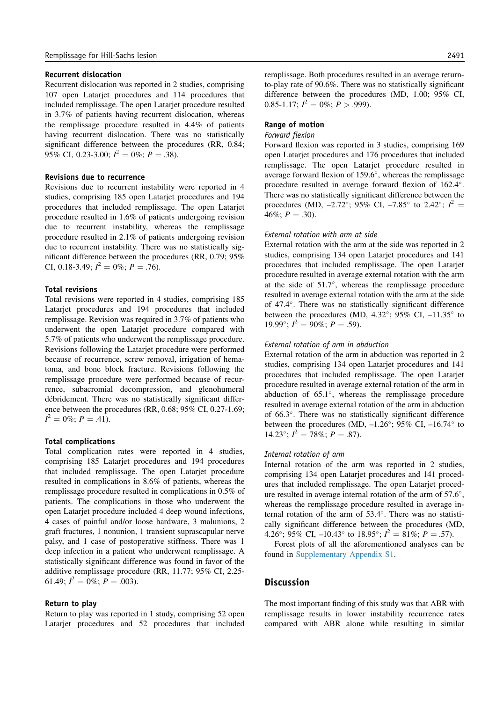#### Recurrent dislocation

Recurrent dislocation was reported in 2 studies, comprising 107 open Latarjet procedures and 114 procedures that included remplissage. The open Latarjet procedure resulted in 3.7% of patients having recurrent dislocation, whereas the remplissage procedure resulted in 4.4% of patients having recurrent dislocation. There was no statistically significant difference between the procedures (RR, 0.84; 95% CI, 0.23-3.00;  $I^2 = 0\%$ ;  $P = .38$ ).

#### Revisions due to recurrence

Revisions due to recurrent instability were reported in 4 studies, comprising 185 open Latarjet procedures and 194 procedures that included remplissage. The open Latarjet procedure resulted in 1.6% of patients undergoing revision due to recurrent instability, whereas the remplissage procedure resulted in 2.1% of patients undergoing revision due to recurrent instability. There was no statistically significant difference between the procedures (RR, 0.79; 95% CI, 0.18-3.49;  $I^2 = 0\%$ ;  $P = .76$ ).

#### Total revisions

Total revisions were reported in 4 studies, comprising 185 Latarjet procedures and 194 procedures that included remplissage. Revision was required in 3.7% of patients who underwent the open Latarjet procedure compared with 5.7% of patients who underwent the remplissage procedure. Revisions following the Latarjet procedure were performed because of recurrence, screw removal, irrigation of hematoma, and bone block fracture. Revisions following the remplissage procedure were performed because of recurrence, subacromial decompression, and glenohumeral débridement. There was no statistically significant difference between the procedures (RR, 0.68; 95% CI, 0.27-1.69;  $I^2 = 0\%$ ;  $P = .41$ ).

#### Total complications

Total complication rates were reported in 4 studies, comprising 185 Latarjet procedures and 194 procedures that included remplissage. The open Latarjet procedure resulted in complications in 8.6% of patients, whereas the remplissage procedure resulted in complications in 0.5% of patients. The complications in those who underwent the open Latarjet procedure included 4 deep wound infections, 4 cases of painful and/or loose hardware, 3 malunions, 2 graft fractures, 1 nonunion, 1 transient suprascapular nerve palsy, and 1 case of postoperative stiffness. There was 1 deep infection in a patient who underwent remplissage. A statistically significant difference was found in favor of the additive remplissage procedure (RR, 11.77; 95% CI, 2.25- 61.49;  $I^2 = 0\%$ ;  $P = .003$ ).

#### Return to play

Return to play was reported in 1 study, comprising 52 open Latarjet procedures and 52 procedures that included remplissage. Both procedures resulted in an average returnto-play rate of 90.6%. There was no statistically significant difference between the procedures (MD, 1.00; 95% CI, 0.85-1.17;  $I^2 = 0\%$ ;  $P > .999$ ).

#### Range of motion

#### Forward flexion

Forward flexion was reported in 3 studies, comprising 169 open Latarjet procedures and 176 procedures that included remplissage. The open Latarjet procedure resulted in average forward flexion of 159.6", whereas the remplissage procedure resulted in average forward flexion of 162.4". There was no statistically significant difference between the procedures (MD, -2.72°; 95% CI, -7.85° to 2.42°;  $I^2 =$ 46%;  $P = .30$ ).

## External rotation with arm at side

External rotation with the arm at the side was reported in 2 studies, comprising 134 open Latarjet procedures and 141 procedures that included remplissage. The open Latarjet procedure resulted in average external rotation with the arm at the side of  $51.7^\circ$ , whereas the remplissage procedure resulted in average external rotation with the arm at the side of 47.4". There was no statistically significant difference between the procedures (MD, 4.32 $^{\circ}$ ; 95% CI, -11.35 $^{\circ}$  to 19.99°;  $I^2 = 90\%$ ;  $P = .59$ ).

#### External rotation of arm in abduction

External rotation of the arm in abduction was reported in 2 studies, comprising 134 open Latarjet procedures and 141 procedures that included remplissage. The open Latarjet procedure resulted in average external rotation of the arm in abduction of  $65.1^\circ$ , whereas the remplissage procedure resulted in average external rotation of the arm in abduction of 66.3". There was no statistically significant difference between the procedures (MD,  $-1.26^{\circ}$ ; 95% CI,  $-16.74^{\circ}$  to 14.23°;  $I^2 = 78\%$ ;  $P = .87$ ).

## Internal rotation of arm

Internal rotation of the arm was reported in 2 studies, comprising 134 open Latarjet procedures and 141 procedures that included remplissage. The open Latarjet procedure resulted in average internal rotation of the arm of 57.6", whereas the remplissage procedure resulted in average internal rotation of the arm of 53.4°. There was no statistically significant difference between the procedures (MD, 4.26°; 95% CI, -10.43° to 18.95°;  $I^2 = 81\%$ ;  $P = .57$ ).

Forest plots of all the aforementioned analyses can be found in Supplementary Appendix S1.

# **Discussion**

The most important finding of this study was that ABR with remplissage results in lower instability recurrence rates compared with ABR alone while resulting in similar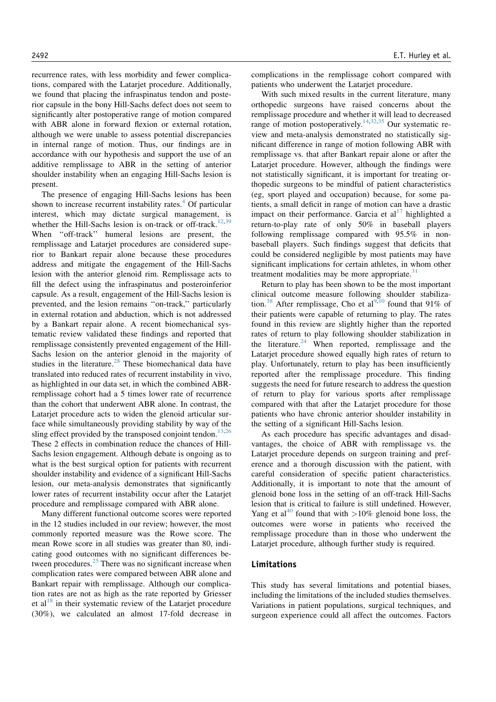recurrence rates, with less morbidity and fewer complications, compared with the Latarjet procedure. Additionally, we found that placing the infraspinatus tendon and posterior capsule in the bony Hill-Sachs defect does not seem to significantly alter postoperative range of motion compared with ABR alone in forward flexion or external rotation, although we were unable to assess potential discrepancies in internal range of motion. Thus, our findings are in accordance with our hypothesis and support the use of an additive remplissage to ABR in the setting of anterior shoulder instability when an engaging Hill-Sachs lesion is present.

The presence of engaging Hill-Sachs lesions has been shown to increase recurrent instability rates. $4$  Of particular interest, which may dictate surgical management, is whether the Hill-Sachs lesion is on-track or off-track.<sup>12,39</sup> When ''off-track'' humeral lesions are present, the remplissage and Latarjet procedures are considered superior to Bankart repair alone because these procedures address and mitigate the engagement of the Hill-Sachs lesion with the anterior glenoid rim. Remplissage acts to fill the defect using the infraspinatus and posteroinferior capsule. As a result, engagement of the Hill-Sachs lesion is prevented, and the lesion remains ''on-track,'' particularly in external rotation and abduction, which is not addressed by a Bankart repair alone. A recent biomechanical systematic review validated these findings and reported that remplissage consistently prevented engagement of the Hill-Sachs lesion on the anterior glenoid in the majority of studies in the literature.<sup>28</sup> These biomechanical data have translated into reduced rates of recurrent instability in vivo, as highlighted in our data set, in which the combined ABRremplissage cohort had a 5 times lower rate of recurrence than the cohort that underwent ABR alone. In contrast, the Latarjet procedure acts to widen the glenoid articular surface while simultaneously providing stability by way of the sling effect provided by the transposed conjoint tendon.<sup>13,26</sup> These 2 effects in combination reduce the chances of Hill-Sachs lesion engagement. Although debate is ongoing as to what is the best surgical option for patients with recurrent shoulder instability and evidence of a significant Hill-Sachs lesion, our meta-analysis demonstrates that significantly lower rates of recurrent instability occur after the Latarjet procedure and remplissage compared with ABR alone.

Many different functional outcome scores were reported in the 12 studies included in our review; however, the most commonly reported measure was the Rowe score. The mean Rowe score in all studies was greater than 80, indicating good outcomes with no significant differences between procedures. $25$  There was no significant increase when complication rates were compared between ABR alone and Bankart repair with remplissage. Although our complication rates are not as high as the rate reported by Griesser et al<sup>18</sup> in their systematic review of the Latariet procedure (30%), we calculated an almost 17-fold decrease in complications in the remplissage cohort compared with patients who underwent the Latarjet procedure.

With such mixed results in the current literature, many orthopedic surgeons have raised concerns about the remplissage procedure and whether it will lead to decreased range of motion postoperatively.<sup>14,32,35</sup> Our systematic review and meta-analysis demonstrated no statistically significant difference in range of motion following ABR with remplissage vs. that after Bankart repair alone or after the Latarjet procedure. However, although the findings were not statistically significant, it is important for treating orthopedic surgeons to be mindful of patient characteristics (eg, sport played and occupation) because, for some patients, a small deficit in range of motion can have a drastic impact on their performance. Garcia et  $al<sup>17</sup>$  highlighted a return-to-play rate of only 50% in baseball players following remplissage compared with 95.5% in nonbaseball players. Such findings suggest that deficits that could be considered negligible by most patients may have significant implications for certain athletes, in whom other treatment modalities may be more appropriate. $31$ 

Return to play has been shown to be the most important clinical outcome measure following shoulder stabilization.<sup>38</sup> After remplissage, Cho et al<sup>9,10</sup> found that 91% of their patients were capable of returning to play. The rates found in this review are slightly higher than the reported rates of return to play following shoulder stabilization in the literature. $24$  When reported, remplissage and the Latarjet procedure showed equally high rates of return to play. Unfortunately, return to play has been insufficiently reported after the remplissage procedure. This finding suggests the need for future research to address the question of return to play for various sports after remplissage compared with that after the Latarjet procedure for those patients who have chronic anterior shoulder instability in the setting of a significant Hill-Sachs lesion.

As each procedure has specific advantages and disadvantages, the choice of ABR with remplissage vs. the Latarjet procedure depends on surgeon training and preference and a thorough discussion with the patient, with careful consideration of specific patient characteristics. Additionally, it is important to note that the amount of glenoid bone loss in the setting of an off-track Hill-Sachs lesion that is critical to failure is still undefined. However, Yang et al<sup>40</sup> found that with  $>10\%$  glenoid bone loss, the outcomes were worse in patients who received the remplissage procedure than in those who underwent the Latarjet procedure, although further study is required.

## Limitations

This study has several limitations and potential biases, including the limitations of the included studies themselves. Variations in patient populations, surgical techniques, and surgeon experience could all affect the outcomes. Factors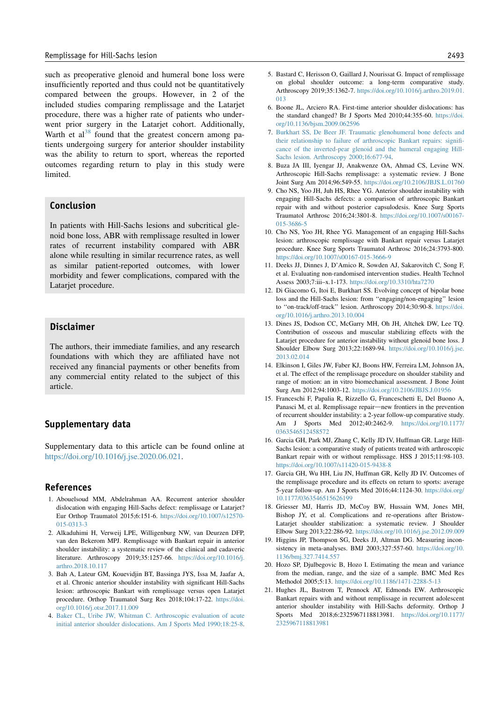such as preoperative glenoid and humeral bone loss were insufficiently reported and thus could not be quantitatively compared between the groups. However, in 2 of the included studies comparing remplissage and the Latarjet procedure, there was a higher rate of patients who underwent prior surgery in the Latariet cohort. Additionally, Warth et  $al^{38}$  found that the greatest concern among patients undergoing surgery for anterior shoulder instability was the ability to return to sport, whereas the reported outcomes regarding return to play in this study were limited.

# Conclusion

In patients with Hill-Sachs lesions and subcritical glenoid bone loss, ABR with remplissage resulted in lower rates of recurrent instability compared with ABR alone while resulting in similar recurrence rates, as well as similar patient-reported outcomes, with lower morbidity and fewer complications, compared with the Latarjet procedure.

# Disclaimer

The authors, their immediate families, and any research foundations with which they are affiliated have not received any financial payments or other benefits from any commercial entity related to the subject of this article.

# Supplementary data

Supplementary data to this article can be found online at https://doi.org/10.1016/j.jse.2020.06.021.

# References

- 1. Abouelsoud MM, Abdelrahman AA. Recurrent anterior shoulder dislocation with engaging Hill-Sachs defect: remplissage or Latarjet? Eur Orthop Traumatol 2015;6:151-6. https://doi.org/10.1007/s12570- 015-0313-3
- 2. Alkaduhimi H, Verweij LPE, Willigenburg NW, van Deurzen DFP, van den Bekerom MPJ. Remplissage with Bankart repair in anterior shoulder instability: a systematic review of the clinical and cadaveric literature. Arthroscopy 2019;35:1257-66. https://doi.org/10.1016/j. arthro.2018.10.117
- 3. Bah A, Lateur GM, Kouevidjin BT, Bassinga JYS, Issa M, Jaafar A, et al. Chronic anterior shoulder instability with significant Hill-Sachs lesion: arthroscopic Bankart with remplissage versus open Latarjet procedure. Orthop Traumatol Surg Res 2018;104:17-22. https://doi. org/10.1016/j.otsr.2017.11.009
- 4. Baker CL, Uribe JW, Whitman C. Arthroscopic evaluation of acute initial anterior shoulder dislocations. Am J Sports Med 1990;18:25-8.
- 5. Bastard C, Herisson O, Gaillard J, Nourissat G. Impact of remplissage on global shoulder outcome: a long-term comparative study. Arthroscopy 2019;35:1362-7. https://doi.org/10.1016/j.arthro.2019.01. 013
- 6. Boone JL, Arciero RA. First-time anterior shoulder dislocations: has the standard changed? Br J Sports Med 2010;44:355-60. https://doi. org/10.1136/bjsm.2009.062596
- 7. Burkhart SS, De Beer JF. Traumatic glenohumeral bone defects and their relationship to failure of arthroscopic Bankart repairs: significance of the inverted-pear glenoid and the humeral engaging Hill-Sachs lesion. Arthroscopy 2000;16:677-94.
- 8. Buza JA III, Iyengar JJ, Anakwenze OA, Ahmad CS, Levine WN. Arthroscopic Hill-Sachs remplissage: a systematic review. J Bone Joint Surg Am 2014;96:549-55. https://doi.org/10.2106/JBJS.L.01760
- 9. Cho NS, Yoo JH, Juh HS, Rhee YG. Anterior shoulder instability with engaging Hill-Sachs defects: a comparison of arthroscopic Bankart repair with and without posterior capsulodesis. Knee Surg Sports Traumatol Arthrosc 2016;24:3801-8. https://doi.org/10.1007/s00167- 015-3686-5
- 10. Cho NS, Yoo JH, Rhee YG. Management of an engaging Hill-Sachs lesion: arthroscopic remplissage with Bankart repair versus Latarjet procedure. Knee Surg Sports Traumatol Arthrosc 2016;24:3793-800. https://doi.org/10.1007/s00167-015-3666-9
- 11. Deeks JJ, Dinnes J, D'Amico R, Sowden AJ, Sakarovitch C, Song F, et al. Evaluating non-randomised intervention studies. Health Technol Assess 2003;7:iii–x.1-173. https://doi.org/10.3310/hta7270
- 12. Di Giacomo G, Itoi E, Burkhart SS. Evolving concept of bipolar bone loss and the Hill-Sachs lesion: from ''engaging/non-engaging'' lesion to ''on-track/off-track'' lesion. Arthroscopy 2014;30:90-8. https://doi. org/10.1016/j.arthro.2013.10.004
- 13. Dines JS, Dodson CC, McGarry MH, Oh JH, Altchek DW, Lee TQ. Contribution of osseous and muscular stabilizing effects with the Latarjet procedure for anterior instability without glenoid bone loss. J Shoulder Elbow Surg 2013;22:1689-94. https://doi.org/10.1016/j.jse. 2013.02.014
- 14. Elkinson I, Giles JW, Faber KJ, Boons HW, Ferreira LM, Johnson JA, et al. The effect of the remplissage procedure on shoulder stability and range of motion: an in vitro biomechanical assessment. J Bone Joint Surg Am 2012;94:1003-12. https://doi.org/10.2106/JBJS.J.01956
- 15. Franceschi F, Papalia R, Rizzello G, Franceschetti E, Del Buono A, Panasci M, et al. Remplissage repair—new frontiers in the prevention of recurrent shoulder instability: a 2-year follow-up comparative study. Am J Sports Med 2012;40:2462-9. https://doi.org/10.1177/ 0363546512458572
- 16. Garcia GH, Park MJ, Zhang C, Kelly JD IV, Huffman GR. Large Hill-Sachs lesion: a comparative study of patients treated with arthroscopic Bankart repair with or without remplissage. HSS J 2015;11:98-103. https://doi.org/10.1007/s11420-015-9438-8
- 17. Garcia GH, Wu HH, Liu JN, Huffman GR, Kelly JD IV. Outcomes of the remplissage procedure and its effects on return to sports: average 5-year follow-up. Am J Sports Med 2016;44:1124-30. https://doi.org/ 10.1177/0363546515626199
- 18. Griesser MJ, Harris JD, McCoy BW, Hussain WM, Jones MH, Bishop JY, et al. Complications and re-operations after Bristow-Latarjet shoulder stabilization: a systematic review. J Shoulder Elbow Surg 2013;22:286-92. https://doi.org/10.1016/j.jse.2012.09.009
- 19. Higgins JP, Thompson SG, Deeks JJ, Altman DG. Measuring inconsistency in meta-analyses. BMJ 2003;327:557-60. https://doi.org/10. 1136/bmj.327.7414.557
- 20. Hozo SP, Djulbegovic B, Hozo I. Estimating the mean and variance from the median, range, and the size of a sample. BMC Med Res Methodol 2005;5:13. https://doi.org/10.1186/1471-2288-5-13
- 21. Hughes JL, Bastrom T, Pennock AT, Edmonds EW. Arthroscopic Bankart repairs with and without remplissage in recurrent adolescent anterior shoulder instability with Hill-Sachs deformity. Orthop J Sports Med 2018;6:2325967118813981. https://doi.org/10.1177/ 2325967118813981